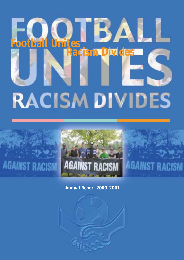# ВА **Football Unites Racism Divides RACISM DIVIDES**



# **AGAINST RACISM**

**AGAINST RACISM** 

**Annual Report 2000-2001**

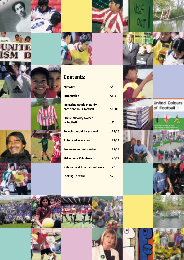

**UNI**<br>ISM

Đ

### **Contents:**

| Foreword                                                | p.3     |
|---------------------------------------------------------|---------|
| <b>Introduction</b>                                     | p.4/5   |
| Increasing ethnic minority<br>participation in football | p.6/10  |
| Ethnic minority women<br>in football                    | p.11    |
| Reducing racial harassment                              | p.12/13 |
| Anti-racist education                                   | p.14/16 |
| Resources and information                               | p.17/19 |
| <b>Millennium Volunteers</b>                            | p.20/24 |
| National and International work                         | p.25    |
| <b>Looking Forward</b>                                  | p.26    |

lle

**United Colours** of Football

 $\frac{1}{2}$ 

 $\ddot{\bullet}$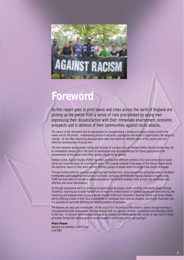

## **Foreword**

As this report goes to print towns and cities across the north of England are picking up the pieces from a series of riots precipitated by young men expressing their dissatisfaction with their immediate environment, economic prospects and in defence of their communities against racist attacks.

The nature of this discontent and its expressions has brought about a plethora of analysis widely aired in the media and on the streets. A depressing picture of exclusion, segregation and denial of opportunities has begun to emerge. All the more depressing because we've been here before in different parts of the country and with different constituencies of young men.

The links between young people rioting and the work of a project such as Football Unites, Racism Divides may not be immediately obvious but in the spirit of examination and recommendations for future good practice the achievements of the project and similar groups should not be ignored.

Football Unites, Racism Divides (FURD) has been working with different sections of its local community to tackle social and racial exclusion for a number of years. The projects outlined in the pages of this Annual Report detail the extensive nature of their work and the different groups of people whom the project has sought to engage.

Through building effective working partnerships with football fans, young people from all backgrounds, local Black communities and footballing institutions at all levels, alongside city-wide and regional statutory organisations, FURD has been able to translate a widespread passion for football amongst client groups into meaningful and effective anti-racist interventions.

So through educational work in schools and organised youth groups, street activities with young people through Streetkick, reaching out to adult football fans through the United Colours of Football fanzine and www.furd.org, the mentoring and empowerment of young people through Millennium Volunteers, Sharrow United and Somali Blades, and by offering a stake in their local communities to individuals who came as refugees, the project illustrates how it is possible to overcome differing but related problems of exclusion.

The lessons are clear and transferable. At the crux of it is the analysis that progress comes through working in real partnership with communities. Moving forward with the agendas of those communities and individual clients to the fore. In contrast the immediate lessons to be drawn from rioting youths may not be so clear, but it if these principles formed the starting point of action elsewhere who knows where we could go?

#### **Piara Powar**

National Co-ordinator, 'Kick It Out' July 2001.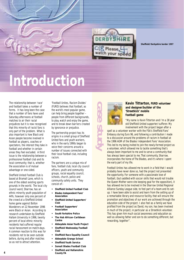



**Sheffield/Derbyshire border 1997**

# **Introduction**

The relationship between 'race' and football takes a number of forms. It has long been the case that a number of fans have used Saturday afternoons at football matches to air their racial prejudices but it is now recognised that this minority of racist fans is only part of the problem. What is also important is how Black and Asian people become involved in football as players, coaches or spectators, the interest they take in football and whether in certain areas they feel excluded. A third issue is the relationship between a professional football club and its local community; that is, whether the association is of mutual advantage or one-sided.

Sheffield United Football Club is based at Bramall Lane, which is one of the oldest existing sports grounds in the world. The local city council ward, Sharrow, has an ethnic minority youth population of 44%; however only one percent of the crowd at a Sheffield United home game against Bolton Wanderers on 22 November 1996 were Black or Asian. According to research undertaken by Sheffield Hallam University in 1996, twenty percent of local ethnic minority residents had suffered regular racial harassment on match-days. A common reaction to this was for residents not to be seen outside before, during and after matches so as not to attract attention.

'Football Unites, Racism Divides' (FURD) believes that football, as the world's most popular game, can help bring people together – people from different backgrounds, to play, watch and enjoy the game, and to break down barriers created by ignorance or prejudice.

The partnership project has its origins in a small group of Sheffield United fans and youth workers, who in the early 1990s began to voice their concerns around a number of issues connected with their local football club, including racism.

The partners are a unique mix of fans, football club, local city council officers, youth and community groups, racial equality council, schools, church, police and community safety units. They consist of:-

- **Sheffield United Football Club**
- **Blades Independent Fans' Association**
- **Sheffield United Supporters' Club**
- **Football Supporters' Association**
- **South Yorkshire Police**
- **The Hub African-Caribbean Centre**
- **Abbeydale Asian Youth Project**
- **Sheffield Wednesday Football Club**
- **Sheffield Race Equality Council**
- **Abbeydale Grange School**
- **Sheffield Youth Service**
- **Somali Blades Football Club**
- **Sheffield and Hallamshire County FA**



#### **Kevin Titterton, FURD volunteer and designer/builder of the 'Streetkick' mobile football game**

"My name is Kevin Titterton and I'm a 38 year old Sheffield United supporter/sufferer. My involvement with the project began after a

spell as a volunteer worker with the FSA's Sheffield Fans' Embassy during Euro 96, and following a contribution I made to a discussion around the problems of racism in football at the 1996 AGM of the Blades Independent Fans' Association. This led to my being invited to join the newly-formed project as a volunteer, which allowed me to tackle something that's always been important to me and to serve a community that has always been special to me. That community, Sharrow, incorporates the home of The Blades, and it's where I spent the early part of my life.

Football Unites has allowed me to work in a field that I would probably have never done so, had the project not presented the opportunity. For someone with a passionate love of football, (but saddled with soccer skills that would not trouble the Queen Mother were she keeping goal for the opposition), it has allowed me to be involved in the Sharrow United Regional Alliance Sunday League side, to feel part of a team and its setup. I have been able to assist and learn from the setting up of a remarkable library and resource facility, that will ensure the promotion and objectives of our work are achieved through the education side of the project. I also feel as a family we have profited from the project as David, my son, has been involved in much of the project, in particular as a Streetkick volunteer. This has given him much social awareness and education as well as allowing father and son to do something different, but rewarding, together".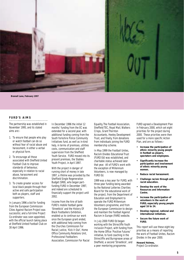

**Bramall Lane, February 1997**

#### **FURD'S AIMS**

The partnership was established in November 1995, and its stated aims are:-

- 1. To ensure that people who play or watch football can do so without fear of racial abuse and harassment, in either a verbal or physical form.
- 2. To encourage all those associated with Sheffield United Football Club to improve standards of behaviour, especially in relation to racial abuse, harassment and discrimination.
- 3. To create greater access for local black people through their active and safe participation both as players, staff and supporters.

In January 1996 a bid for funding from the European Commission Cities Against Racism Project was successful, and a full-time Project Co-ordinator was soon appointed, with the official launch taking place at Sheffield United Football Club on 30 April 1996.

In December 1996 the initial 12 months' funding from the EC was extended for a second year, with additional funding coming from the South Yorkshire Police Community Initiatives fund, as well as in-kind help, in terms of premises, utilities costs, communication and staff supervision from the Sheffield Youth Service. FURD moved into its present premises, the Stables Youth Project, in April 1997.

With the project in danger of running short of money in late 1997, a lifeline was provided by the Sheffield Single Regeneration Budget (SRB), who began partfunding FURD in December 1997, and indeed are scheduled to financially support the project until 2002.

Income from the hire of both FURD's mobile football game 'Streetkick' and the History Of Black Footballers Exhibition, enabled us to continue our work once the European grant ended, with additional help coming from the Churches Commission For Racial Justice, 'Kick It Out', Home Office Community Relations Unit, Professional Footballers Association, Commission For Racial Equality, The Football Association, Sheffield TEC, Royal Mail, Walkers Crisps, Grant Thornton Accountants, Heeley Development Trust, and finally, from donations from individuals joining the FURD membership scheme.

In May 1999 the Football Unites, Racism Divides Educational Trust (FURD Ed) was established, and charitable status achieved later that year. All of FURD's work with the exception of Millennium Volunteers, is now managed by FURD Ed.

1999 was a key year for FURD, with three-year funding being awarded by the National Lotteries Charities Board for the educational work of the project, from the Department of Education and Employment to operate the FURD Millennium Volunteers programme, and from the European Commission to design and maintain the Football Against Racism in Europe (FARE) website.

In July 2000 FURD Ed began working with the Shirecliffe Youth Inclusion Project, with funding from the Home Office 'Positive Futures' initiative, to fund coaching in the Shirecliffe and Burngreave areas of Sheffield, a second 'Streetkick', and a peer mentoring programme.

FURD agreed a Development Plan in February 2000, which set eight priorities for the project during 2000. These priorities were then used for a more specific Action Plan, and are as follows:-

- **Increase the participation of ethnic minority young people in football as players, spectators and employees.**
- **Significantly increase the participation and involvement of ethnic minority young women.**
- **Reduce racial harassment.**
- **Challenge racism through antiracist education.**
- **Develop the work of the Resources and Information Centre.**
- **Increase the participation of volunteers in the work of FURD, especially young people aged 16 to 24.**
- **Develop regional, national and international initiatives.**
- **Secure the future work of FURD.**

This report will use these eight key priorities as a means of reporting the work of Football Unites, Racism Divides in the year 2000.

**Howard Holmes,** Project Co-ordinator.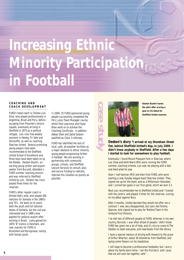# **Increasing Ethnic Minority Participation in Football**

#### **COACHING AND COACH DEVELOPMENT**

FURD's head coach is Chilean Luis Silva, who played professionally in Argentina, Brazil and Peru, before escaping from Pinochet's torture squads, eventually arriving in

Sheffield in 1975 as a political refugee. Luis runs free weekly sessions in Heeley, Fir Vale and Shirecliffe, as well as coaching Sharrow United. Several promising young players have been recommended to the Sheffield United School of Excellence and three boys have been taken on by the Blades. Desbon Bushiri, an exciting young striker and asylum seeker from Burundi, attended a FURD summer coaching session and was referred to Sheffield United by Luis. Desbon has since played three times for the reserves.

FURD's other regular coach is Ahmed Abdi Jama, who played 266 matches for Somalia in the 1960's and 70's. He went on to coach both the youth and full national teams of Somalia, but the civil war intervened and in 1989 Jama applied for political asylum after working in Brazil. Jama gained his UEFA 'B' licence in Denmark, and now coaches for FURD in Broomhall and Burngreave, mostly with Somali youth.

people successfully completed the FA's Junior Team Manager course, whilst Paul Lawrence and Fayaz Khan went on to achieve the Coaching Certificate. In addition Abbas Shah and Zahid Saleem qualified as Class 3 referees.

FURD has identified the lack of local, safe, all-weather facilities as a major obstacle to ethnic minority young people progressing further in football. We are working in partnership with community groups, schools, and Sheffield Leisure Services to consult, plan, and secure funding to radically improve this situation as quickly as possible.



**Desbon Bushiri leaves the pitch after scoring a goal on his debut for**

**Desbon's story "I arrived at my Shoreham Street flat, behind Sheffield United's Kop, in July 2000. I didn't know anybody in Sheffield. After a few days I started to look for somewhere to play football.**

Eventually I found Mount Pleasant Park in Sharrow, where Luis Silva and Keith Ward (MV) were running the FURD summer coaching scheme. Luis saw me playing with a ball, and liked what he saw.

Soon I met Kamran (MV) and Alan from FURD, who were starting a new Sunday league team,'Sharrow United'. They signed me up for the team, and as a Millennium Volunteer, and I scored two goals in our first game, which we won 3-1.

Next Luis recommended me to Sheffield United and I trained with the juniors, and played 3 times for the reserves, scoring on my debut against Bury.

After 4 months, United decided they would not offer me a contract. I was very disappointed, but soon met Tommy Spencer, who signed me to play for Matlock Town in the Unibond First Division.

I've met lots of different people at FURD, whereas in my own country, Burundi, I was often afraid of people I didn't know. FURD has given me a lot of help, and it's nice to come to The Stables to meet everyone, and read books from the library.

I have a special memory of driving with Howard to the grave of Arthur Wharton, about 30 kilometres from Sheffield, and laying some flowers on his headstone.

I still hope to become a professional footballer, but I worry about my family back home. I am the first-born, and I pray that we will soon be together, safe".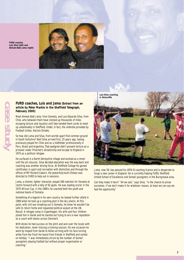**FURD coaches Luis Silva (left) and Ahmed Abdi Jama (right)**

**case study**



#### **FURD coaches, Luis and Jama (Extract from an article by Peter Markie in the Sheffield Telegraph, February 2000)**

Meet Ahmed Abdi Jama, from Somalia, and Luis-Eduardo Silva, from Chile, who between them have clocked up thousands of miles escaping torture and injustice until fate handed them cards to meet up unbelievably in Sheffield. Under, in fact, the umbrella provided by Football Unites, Racism Divides.

So how did Jama and Silva, from worlds apart find common ground in South Yorkshire? Well Silva arrived first, 25 years ago, having previously played for Chile and as a midfielder professionally in Peru, Brazil and Argentina. That pedigree didn't prevent torture as a prisoner under Pinochet's dictatorship and escape to England in 1975 as a political refugee.

He surfaced in a North Derbyshire village and worked as a miner until the pit closures. Silva decided education was the way back and coaching was another driving force. At Sheffield College he gained certificates in sport and recreation with distinction and through the offices of MP Richard Caborn, the powerfully-built Chilean was directed to FURD to help out in sessions.

Jama, a shorter, lighter character, played 266 matches for Somalia at centre forward with a tally of 92 goals. He was leading scorer in the 1975 African Cup. In the 1980's he coached both the youth and national teams of Somalia.

Something of a legend in his own country, he looked further afield in 1989 when he took up a coaching post in Rio de Janeiro. At this point, with civil war breaking out in Somalia, he knew he wouldn't be safe to return home and requested political asylum at the UN. Result: A refugee camp in Copenhagen. His wife and four children joined him in Varde and he started out trying to win a new reputation as a coach with teams across Denmark.

With Alslev he had success on the pitch and won over the locals with his dedication, never missing a training session. On one occasion he went by moped from Varde to Alslev arriving with his face turning white from the frost! He heard from friends in Sheffield and visited on holiday. "I was immediately struck by the number of Somali youngsters playing football but without proper organisation or coaching."



Jama, now 56, has passed his UEFA B coaching licence and is desperate to forge a new career in England. He is currently helping FURD, Sheffield United School of Excellence and Somali youngsters in the Burngreave area.

Can they make it here? "All we ask," says Silva, "is the chance to prove ourselves. If we don't make it for whatever reason, at least we can say we had the opportunity."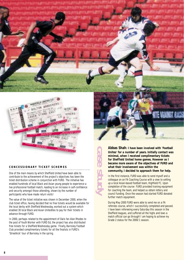

#### **CONCESSIONARY TICKET SCHEMES**

One of the main means by which Sheffield United have been able to contribute to the achievement of the project's objectives has been the ticket distribution scheme in conjunction with FURD. The initiative has enabled hundreds of local Black and Asian young people to experience a live professional football match, leading to an increase in self-confidence and security amongst those attending, shown by the number of participants who have made return visits!

The value of the ticket initiative was shown in December 2000, when the club ticket office, having decided that no free tickets would be available for the local derby with Sheffield Wednesday, worked out a system which enabled 30 local Black and Asian Unitedites to pay for their tickets in advance through FURD.

In 2000, perhaps related to the appointment of Owls fan Alan Rhodes to the post of Youth Worker with FURD Ed, the project has also distributed free tickets for a Sheffield Wednesday game. Finally, Barnsley Football Club provided complimentary tickets for all the finalists in FURD's 'Streetkick' tour of Barnsley in the spring.

**Abbas Shah: I have been involved with 'Football Unites' for a number of years. Initially contact was minimal, when I received complimentary tickets for Sheffield United home games. However as I became more aware of the objectives of FURD and what their involvement was within the community, I decided to approach them for help.**

In the first instance, FURD was able to send myself and a colleague on an FA Coaching Course with a view to setting up a local Asian-based football team, Highfield FC. Upon completion of the course FURD provided training equipment for coaching the team, and helped us obtain lottery and council funding. Once the season had started FURD donated further match equipment.

During May 2000 FURD were able to send me on a FA referees course, which I successfully completed and passed. I have been refereeing every Saturday this season in the Sheffield leagues, and suffered all the highs and lows a match official can go through! I am hoping to achieve my Grade 2 status for the 2000/1 season.

**case study**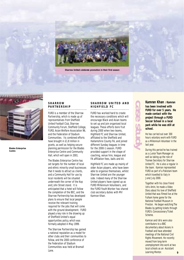

**Sharrow United celebrate promotion in their first season**



**Blades Enterprise Centre**

#### **SHARROW PARTNERSHIP**

FURD is a member of the Sharrow Partnership, which is made up of representatives from Sheffield United Football Club, Sharrow Community Forum, Sheffield College, FURD, Asian Welfare Association 96, and the Federation of Stadium Communities. Its combined efforts have brought in £1.8 million in grants, as well as helping secure planning permission for the Blades Enterprise Centre and Community Hall, which will open in 2001.

The Blades Enterprise Centre has set targets for the number of local and ethnic minority small businesses that it needs to attract as clients, and a Community Hall for use by local residents will be situated underneath the corner of the Kop and John Street stand. It is anticipated that a hotel will follow the completion of the BEC, and the Sharrow Partnership has developed plans to ensure that local people receive the relevant training required for the jobs that will come with the ground development. FURD played a key role in the drawing up of Sheffield United's equal opportunities policy, which was formally adopted in May 1999.

The Sharrow Partnership has gained a national reputation as a model for other clubs and their communities to follow, and the 2000 conference of the Federation of Stadium Communities was held at Bramall Lane.

#### **SHARROW UNITED AND HIGHFIELD FC**

FURD has worked hard to create the necessary conditions which will encourage Black and Asian teams to set up and join organised local leagues. These efforts bore fruit during 2000 when two teams, Highfield FC and Sharrow United, affiliated to the Sheffield and Hallamshire County FA, and joined different Sunday leagues in time for the 2000-1 season. FURD provided support in the shape of coaching, venue hire, league and FA affiliation fees, balls and kit.

Highfield FC are made up mainly of older Asian players, who have been able to organise themselves, whilst Sharrow United are the younger side. Indeed many of the Sharrow United players have signed up as FURD Millennium Volunteers, and the FURD Youth Worker has shared club secretary duties with MV Kamran Khan.

**Kamran Khan : Kamran has been involved with FURD for over 5 years. He made contact with the project through a FURD Soccer School in a local park while he was still at school.**

**case study**

He has carried out over 300 hours voluntary work with FURD as a Millennium Volunteer in the last year.

During this period he has trained as a Junior Team Manager as well as taking up the role of Trainee Secretary for Sharrow United FC. He is also a regular in the team. Kamran represented FURD as part of a Pakistani team which travelled to Italy in June/July 2000.

Together with his close friend Idris Amin, he made a Video Diary about his love of Sheffield United that was filmed live at the Fulham home game for the National Football Museum in Preston. He began watching The Blades by getting tickets through FURD's Concessionary Ticket Scheme.

Kamran and Idris were also contributors to a BBC documentary about Asians in Football and have attended meetings of the National Civil Rights Movement. He recently moved from long-term unemployment into work at two local schools as an Assistant Learning Mentor. **9**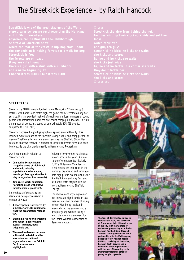### The Streetkick Experience - by Ralph Hancock

#### **STREETKICK**

Streetkick is FURD's mobile football game. Measuring 12 metres by 8 metres, with boards one metre high, the game can be erected on any flat surface. It is an excellent method of reaching significant numbers of young people with information about the anti-racist campaign in football. In 2000 the number of events increased by approximately 50% (25 events, compared to 17 in 1999).

Streetkick achieved a good geographical spread around the city. This included events at each of the Sheffield College sites, and being present at many of Sheffield's large-scale events, such as the Sheffield Show, May Fest and Sharrow Festival. A number of Streetkick events have also been held outside the city, predominantly in Barnsley and Rotherham.

Our 2 main aims in relation to Streetkick are:

- **Combating Disadvantage (targeting areas of high Black and ethnic minority populations - where young people get few opportunities to play in organised tournaments)**
- **Anti-racist work/education (targeting areas with known racial tensions/problems).**

Re-emphasis of the anti-racist element is being addressed in a number of ways:

- **A short speech is delivered by a member of FURD relating to what the organisation 'stands for'.**
- **Examining ways of increasing anti-racist imagery during events – banners, flags, sidepanels etc.**
- **The need to develop our own anti-racist material (and be less reliant on national organisations such as 'Kick It Out') has also been highlighted.**

Volunteer involvement has been a major success this year. A widerange of volunteers (particularly FURD's Millennium Volunteers – MVs) have taken lead roles in the planning, organising and running of both high profile events such as the Sheffield Show and May Fest and also short-term projects like the work at Barnsley and Sheffield College.

The involvement of young women has increased significantly on last year, with a small number of young women MVs being involved in events during the summer and a group of young women taking a lead role in running an event for the Indian Welfare Association at Barnsley in August.